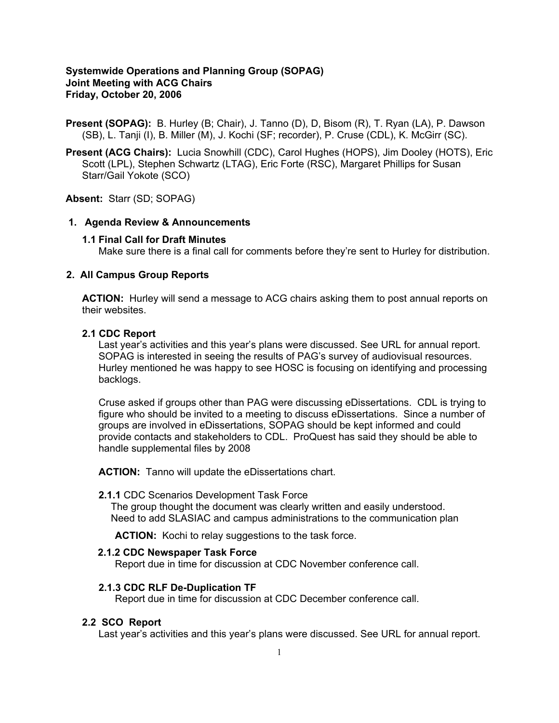## **Systemwide Operations and Planning Group (SOPAG) Joint Meeting with ACG Chairs Friday, October 20, 2006**

**Present (SOPAG):** B. Hurley (B; Chair), J. Tanno (D), D, Bisom (R), T. Ryan (LA), P. Dawson (SB), L. Tanji (I), B. Miller (M), J. Kochi (SF; recorder), P. Cruse (CDL), K. McGirr (SC).

**Present (ACG Chairs):** Lucia Snowhill (CDC), Carol Hughes (HOPS), Jim Dooley (HOTS), Eric Scott (LPL), Stephen Schwartz (LTAG), Eric Forte (RSC), Margaret Phillips for Susan Starr/Gail Yokote (SCO)

**Absent:** Starr (SD; SOPAG)

### **1. Agenda Review & Announcements**

#### **1.1 Final Call for Draft Minutes**

Make sure there is a final call for comments before they're sent to Hurley for distribution.

#### **2. All Campus Group Reports**

**ACTION:** Hurley will send a message to ACG chairs asking them to post annual reports on their websites.

#### **2.1 CDC Report**

Last year's activities and this year's plans were discussed. See URL for annual report. SOPAG is interested in seeing the results of PAG's survey of audiovisual resources. Hurley mentioned he was happy to see HOSC is focusing on identifying and processing backlogs.

Cruse asked if groups other than PAG were discussing eDissertations. CDL is trying to figure who should be invited to a meeting to discuss eDissertations. Since a number of groups are involved in eDissertations, SOPAG should be kept informed and could provide contacts and stakeholders to CDL. ProQuest has said they should be able to handle supplemental files by 2008

 **ACTION:** Tanno will update the eDissertations chart.

#### **2.1.1** CDC Scenarios Development Task Force

The group thought the document was clearly written and easily understood. Need to add SLASIAC and campus administrations to the communication plan

**ACTION:** Kochi to relay suggestions to the task force.

## **2.1.2 CDC Newspaper Task Force**

Report due in time for discussion at CDC November conference call.

#### **2.1.3 CDC RLF De-Duplication TF**

Report due in time for discussion at CDC December conference call.

## **2.2 SCO Report**

Last year's activities and this year's plans were discussed. See URL for annual report.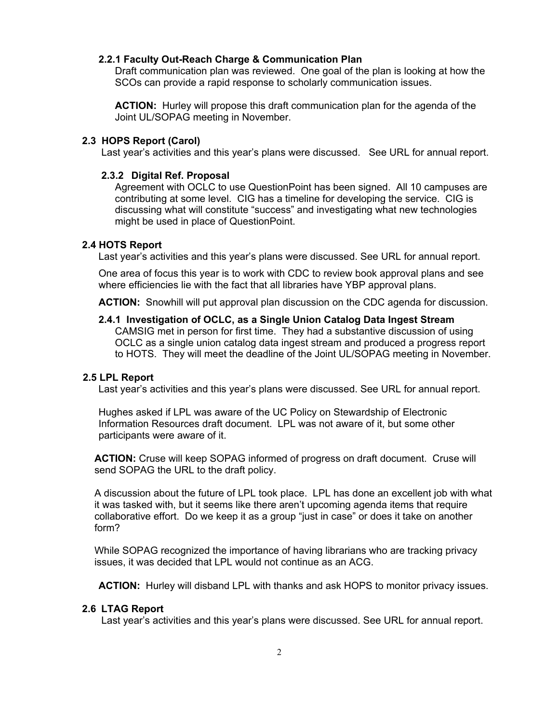## **2.2.1 Faculty Out-Reach Charge & Communication Plan**

Draft communication plan was reviewed. One goal of the plan is looking at how the SCOs can provide a rapid response to scholarly communication issues.

**ACTION:** Hurley will propose this draft communication plan for the agenda of the Joint UL/SOPAG meeting in November.

#### **2.3 HOPS Report (Carol)**

Last year's activities and this year's plans were discussed. See URL for annual report.

#### **2.3.2 Digital Ref. Proposal**

Agreement with OCLC to use QuestionPoint has been signed. All 10 campuses are contributing at some level. CIG has a timeline for developing the service. CIG is discussing what will constitute "success" and investigating what new technologies might be used in place of QuestionPoint.

### **2.4 HOTS Report**

Last year's activities and this year's plans were discussed. See URL for annual report.

One area of focus this year is to work with CDC to review book approval plans and see where efficiencies lie with the fact that all libraries have YBP approval plans.

 **ACTION:** Snowhill will put approval plan discussion on the CDC agenda for discussion.

#### **2.4.1 Investigation of OCLC, as a Single Union Catalog Data Ingest Stream**

CAMSIG met in person for first time. They had a substantive discussion of using OCLC as a single union catalog data ingest stream and produced a progress report to HOTS. They will meet the deadline of the Joint UL/SOPAG meeting in November.

#### **2.5 LPL Report**

Last year's activities and this year's plans were discussed. See URL for annual report.

Hughes asked if LPL was aware of the UC Policy on Stewardship of Electronic Information Resources draft document. LPL was not aware of it, but some other participants were aware of it.

**ACTION:** Cruse will keep SOPAG informed of progress on draft document. Cruse will send SOPAG the URL to the draft policy.

A discussion about the future of LPL took place. LPL has done an excellent job with what it was tasked with, but it seems like there aren't upcoming agenda items that require collaborative effort. Do we keep it as a group "just in case" or does it take on another form?

While SOPAG recognized the importance of having librarians who are tracking privacy issues, it was decided that LPL would not continue as an ACG.

 **ACTION:** Hurley will disband LPL with thanks and ask HOPS to monitor privacy issues.

#### **2.6 LTAG Report**

Last year's activities and this year's plans were discussed. See URL for annual report.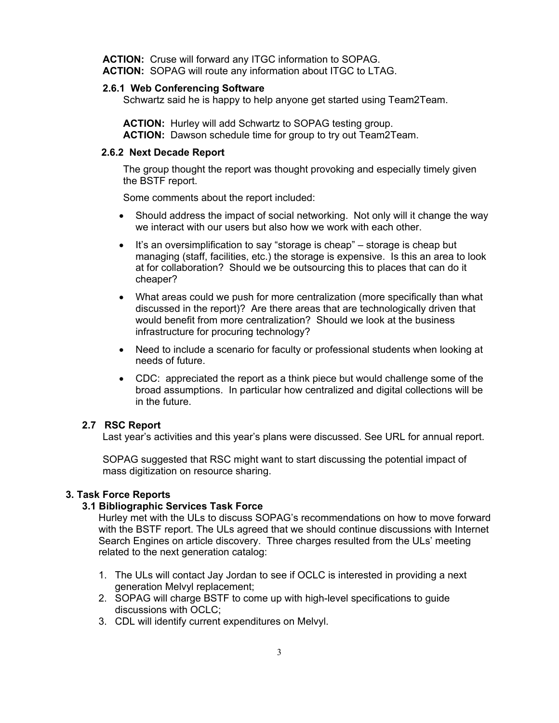**ACTION:** Cruse will forward any ITGC information to SOPAG.  **ACTION:** SOPAG will route any information about ITGC to LTAG.

#### **2.6.1 Web Conferencing Software**

Schwartz said he is happy to help anyone get started using Team2Team.

 **ACTION:** Hurley will add Schwartz to SOPAG testing group.  **ACTION:** Dawson schedule time for group to try out Team2Team.

# **2.6.2 Next Decade Report**

The group thought the report was thought provoking and especially timely given the BSTF report.

Some comments about the report included:

- Should address the impact of social networking. Not only will it change the way we interact with our users but also how we work with each other.
- It's an oversimplification to say "storage is cheap" storage is cheap but managing (staff, facilities, etc.) the storage is expensive. Is this an area to look at for collaboration? Should we be outsourcing this to places that can do it cheaper?
- What areas could we push for more centralization (more specifically than what discussed in the report)? Are there areas that are technologically driven that would benefit from more centralization? Should we look at the business infrastructure for procuring technology?
- Need to include a scenario for faculty or professional students when looking at needs of future.
- CDC: appreciated the report as a think piece but would challenge some of the broad assumptions. In particular how centralized and digital collections will be in the future.

# **2.7 RSC Report**

Last year's activities and this year's plans were discussed. See URL for annual report.

SOPAG suggested that RSC might want to start discussing the potential impact of mass digitization on resource sharing.

# **3. Task Force Reports**

# **3.1 Bibliographic Services Task Force**

Hurley met with the ULs to discuss SOPAG's recommendations on how to move forward with the BSTF report. The ULs agreed that we should continue discussions with Internet Search Engines on article discovery. Three charges resulted from the ULs' meeting related to the next generation catalog:

- 1. The ULs will contact Jay Jordan to see if OCLC is interested in providing a next generation Melvyl replacement;
- 2. SOPAG will charge BSTF to come up with high-level specifications to guide discussions with OCLC;
- 3. CDL will identify current expenditures on Melvyl.